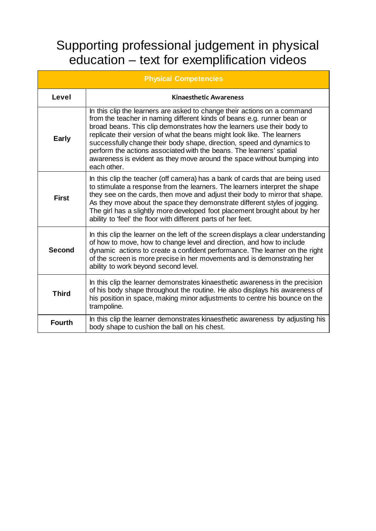## Supporting professional judgement in physical education – text for exemplification videos

| <b>Physical Competencies</b> |                                                                                                                                                                                                                                                                                                                                                                                                                                                                                                                                                      |  |
|------------------------------|------------------------------------------------------------------------------------------------------------------------------------------------------------------------------------------------------------------------------------------------------------------------------------------------------------------------------------------------------------------------------------------------------------------------------------------------------------------------------------------------------------------------------------------------------|--|
| Level                        | <b>Kinaesthetic Awareness</b>                                                                                                                                                                                                                                                                                                                                                                                                                                                                                                                        |  |
| <b>Early</b>                 | In this clip the learners are asked to change their actions on a command<br>from the teacher in naming different kinds of beans e.g. runner bean or<br>broad beans. This clip demonstrates how the learners use their body to<br>replicate their version of what the beans might look like. The learners<br>successfully change their body shape, direction, speed and dynamics to<br>perform the actions associated with the beans. The learners' spatial<br>awareness is evident as they move around the space without bumping into<br>each other. |  |
| <b>First</b>                 | In this clip the teacher (off camera) has a bank of cards that are being used<br>to stimulate a response from the learners. The learners interpret the shape<br>they see on the cards, then move and adjust their body to mirror that shape.<br>As they move about the space they demonstrate different styles of jogging.<br>The girl has a slightly more developed foot placement brought about by her<br>ability to 'feel' the floor with different parts of her feet.                                                                            |  |
| <b>Second</b>                | In this clip the learner on the left of the screen displays a clear understanding<br>of how to move, how to change level and direction, and how to include<br>dynamic actions to create a confident performance. The learner on the right<br>of the screen is more precise in her movements and is demonstrating her<br>ability to work beyond second level.                                                                                                                                                                                         |  |
| <b>Third</b>                 | In this clip the learner demonstrates kinaesthetic awareness in the precision<br>of his body shape throughout the routine. He also displays his awareness of<br>his position in space, making minor adjustments to centre his bounce on the<br>trampoline.                                                                                                                                                                                                                                                                                           |  |
| <b>Fourth</b>                | In this clip the learner demonstrates kinaesthetic awareness by adjusting his<br>body shape to cushion the ball on his chest.                                                                                                                                                                                                                                                                                                                                                                                                                        |  |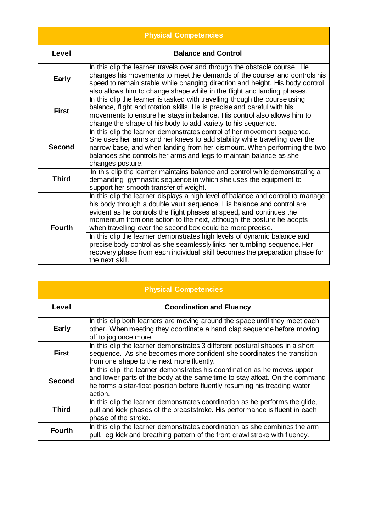| <b>Physical Competencies</b> |                                                                                                                                                                                                                                                                                                                                                                                                                                                                                                                                                                                                                                 |  |
|------------------------------|---------------------------------------------------------------------------------------------------------------------------------------------------------------------------------------------------------------------------------------------------------------------------------------------------------------------------------------------------------------------------------------------------------------------------------------------------------------------------------------------------------------------------------------------------------------------------------------------------------------------------------|--|
| Level                        | <b>Balance and Control</b>                                                                                                                                                                                                                                                                                                                                                                                                                                                                                                                                                                                                      |  |
| <b>Early</b>                 | In this clip the learner travels over and through the obstacle course. He<br>changes his movements to meet the demands of the course, and controls his<br>speed to remain stable while changing direction and height. His body control<br>also allows him to change shape while in the flight and landing phases.                                                                                                                                                                                                                                                                                                               |  |
| <b>First</b>                 | In this clip the learner is tasked with travelling though the course using<br>balance, flight and rotation skills. He is precise and careful with his<br>movements to ensure he stays in balance. His control also allows him to<br>change the shape of his body to add variety to his sequence.                                                                                                                                                                                                                                                                                                                                |  |
| <b>Second</b>                | In this clip the learner demonstrates control of her movement sequence.<br>She uses her arms and her knees to add stability while travelling over the<br>narrow base, and when landing from her dismount. When performing the two<br>balances she controls her arms and legs to maintain balance as she<br>changes posture.                                                                                                                                                                                                                                                                                                     |  |
| <b>Third</b>                 | In this clip the learner maintains balance and control while demonstrating a<br>demanding gymnastic sequence in which she uses the equipment to<br>support her smooth transfer of weight.                                                                                                                                                                                                                                                                                                                                                                                                                                       |  |
| <b>Fourth</b>                | In this clip the learner displays a high level of balance and control to manage<br>his body through a double vault sequence. His balance and control are<br>evident as he controls the flight phases at speed, and continues the<br>momentum from one action to the next, although the posture he adopts<br>when travelling over the second box could be more precise.<br>In this clip the learner demonstrates high levels of dynamic balance and<br>precise body control as she seamlessly links her tumbling sequence. Her<br>recovery phase from each individual skill becomes the preparation phase for<br>the next skill. |  |

| <b>Physical Competencies</b> |                                                                                                                                                                                                                                                  |  |
|------------------------------|--------------------------------------------------------------------------------------------------------------------------------------------------------------------------------------------------------------------------------------------------|--|
| Level                        | <b>Coordination and Fluency</b>                                                                                                                                                                                                                  |  |
| <b>Early</b>                 | In this clip both learners are moving around the space until they meet each<br>other. When meeting they coordinate a hand clap sequence before moving<br>off to jog once more.                                                                   |  |
| <b>First</b>                 | In this clip the learner demonstrates 3 different postural shapes in a short<br>sequence. As she becomes more confident she coordinates the transition<br>from one shape to the next more fluently.                                              |  |
| <b>Second</b>                | In this clip the learner demonstrates his coordination as he moves upper<br>and lower parts of the body at the same time to stay afloat. On the command<br>he forms a star-float position before fluently resuming his treading water<br>action. |  |
| <b>Third</b>                 | In this clip the learner demonstrates coordination as he performs the glide,<br>pull and kick phases of the breaststroke. His performance is fluent in each<br>phase of the stroke.                                                              |  |
| <b>Fourth</b>                | In this clip the learner demonstrates coordination as she combines the arm<br>pull, leg kick and breathing pattern of the front crawl stroke with fluency.                                                                                       |  |